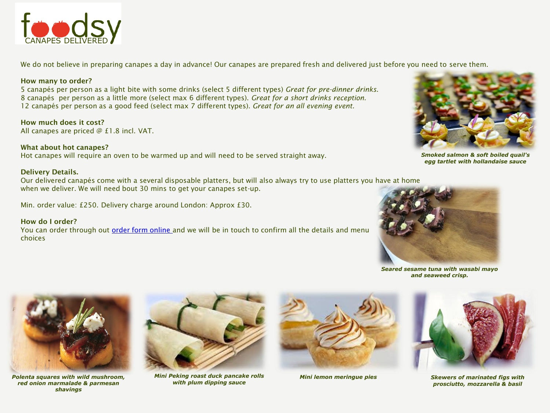

We do not believe in preparing canapes a day in advance! Our canapes are prepared fresh and delivered just before you need to serve them.

### **How many to order?**

5 canapés per person as a light bite with some drinks (select 5 different types) *Great for pre-dinner drinks.*  8 canapés per person as a little more (select max 6 different types). *Great for a short drinks reception.*  12 canapés per person as a good feed (select max 7 different types). *Great for an all evening event.* 

**How much does it cost?**  All canapes are priced @ £1.8 incl. VAT.

**What about hot canapes?**  Hot canapes will require an oven to be warmed up and will need to be served straight away.

### **Delivery Details.**

Our delivered canapés come with a several disposable platters, but will also always try to use platters you have at home when we deliver. We will need bout 30 mins to get your canapes set-up.

Min. order value: £250. Delivery charge around London: Approx £30.

## **How do I order?**

You can order through out [order form online](http://www.foodsy.co.uk/#!canapes---order-online/ls7w0) and we will be in touch to confirm all the details and menu choices



*Smoked salmon & soft boiled quail's egg tartlet with hollandaise sauce* 



*Seared sesame tuna with wasabi mayo and seaweed crisp.*



*Polenta squares with wild mushroom, red onion marmalade & parmesan shavings* 



*Mini Peking roast duck pancake rolls Mini lemon meringue pies with plum dipping sauce*





*Skewers of marinated figs with prosciutto, mozzarella & basil*